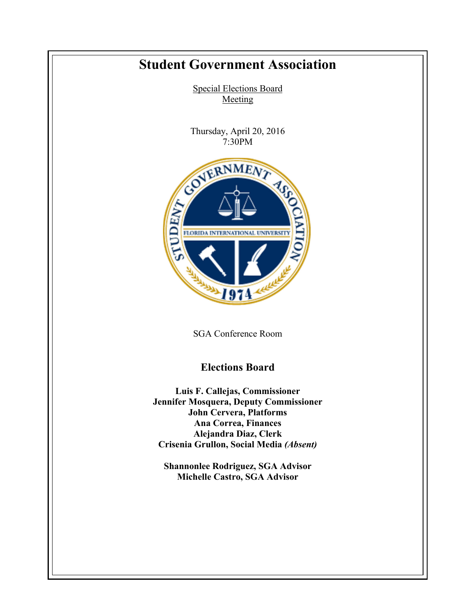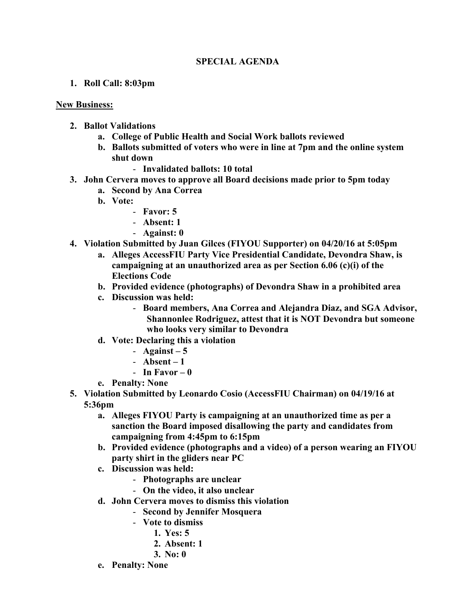## **SPECIAL AGENDA**

**1. Roll Call: 8:03pm**

## **New Business:**

- **2. Ballot Validations**
	- **a. College of Public Health and Social Work ballots reviewed**
	- **b. Ballots submitted of voters who were in line at 7pm and the online system shut down**
		- **Invalidated ballots: 10 total**
- **3. John Cervera moves to approve all Board decisions made prior to 5pm today**
	- **a. Second by Ana Correa**
	- **b. Vote:**
		- **Favor: 5**
		- **Absent: 1**
		- **Against: 0**
- **4. Violation Submitted by Juan Gilces (FIYOU Supporter) on 04/20/16 at 5:05pm** 
	- **a. Alleges AccessFIU Party Vice Presidential Candidate, Devondra Shaw, is campaigning at an unauthorized area as per Section 6.06 (c)(i) of the Elections Code**
	- **b. Provided evidence (photographs) of Devondra Shaw in a prohibited area**
	- **c. Discussion was held:**
		- **Board members, Ana Correa and Alejandra Diaz, and SGA Advisor, Shannonlee Rodriguez, attest that it is NOT Devondra but someone who looks very similar to Devondra**
	- **d. Vote: Declaring this a violation**
		- $-$  **Against**  $-5$
		- **Absent – 1**
		- **In Favor – 0**
	- **e. Penalty: None**
- **5. Violation Submitted by Leonardo Cosio (AccessFIU Chairman) on 04/19/16 at 5:36pm**
	- **a. Alleges FIYOU Party is campaigning at an unauthorized time as per a sanction the Board imposed disallowing the party and candidates from campaigning from 4:45pm to 6:15pm**
	- **b. Provided evidence (photographs and a video) of a person wearing an FIYOU party shirt in the gliders near PC**
	- **c. Discussion was held:**
		- **Photographs are unclear**
		- **On the video, it also unclear**
	- **d. John Cervera moves to dismiss this violation**
		- **Second by Jennifer Mosquera**
		- **Vote to dismiss**
			- **1. Yes: 5**
			- **2. Absent: 1**
			- **3. No: 0**
	- **e. Penalty: None**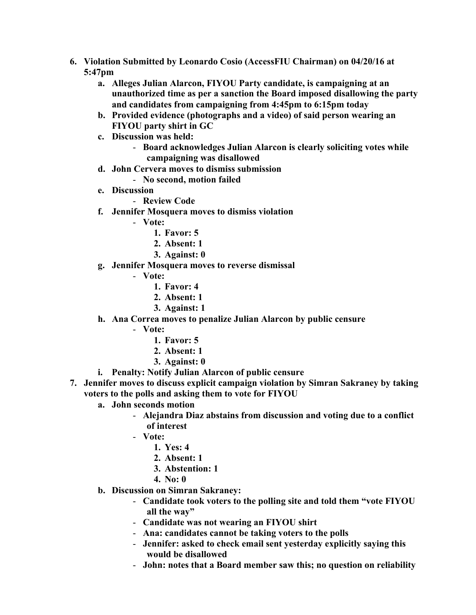- **6. Violation Submitted by Leonardo Cosio (AccessFIU Chairman) on 04/20/16 at 5:47pm** 
	- **a. Alleges Julian Alarcon, FIYOU Party candidate, is campaigning at an unauthorized time as per a sanction the Board imposed disallowing the party and candidates from campaigning from 4:45pm to 6:15pm today**
	- **b. Provided evidence (photographs and a video) of said person wearing an FIYOU party shirt in GC**
	- **c. Discussion was held:**
		- **Board acknowledges Julian Alarcon is clearly soliciting votes while campaigning was disallowed**
	- **d. John Cervera moves to dismiss submission**
		- **No second, motion failed**
	- **e. Discussion**
		- **Review Code**
	- **f. Jennifer Mosquera moves to dismiss violation**
		- **Vote:**
			- **1. Favor: 5**
			- **2. Absent: 1**
			- **3. Against: 0**
	- **g. Jennifer Mosquera moves to reverse dismissal**
		- **Vote:**
			- **1. Favor: 4**
			- **2. Absent: 1**
			- **3. Against: 1**
	- **h. Ana Correa moves to penalize Julian Alarcon by public censure**
		- **Vote:**
			- **1. Favor: 5**
			- **2. Absent: 1**
			- **3. Against: 0**
	- **i. Penalty: Notify Julian Alarcon of public censure**
- **7. Jennifer moves to discuss explicit campaign violation by Simran Sakraney by taking voters to the polls and asking them to vote for FIYOU**
	- **a. John seconds motion**
		- **Alejandra Diaz abstains from discussion and voting due to a conflict of interest**
		- **Vote:**
			- **1. Yes: 4**
			- **2. Absent: 1**
			- **3. Abstention: 1**
			- **4. No: 0**
	- **b. Discussion on Simran Sakraney:**
		- **Candidate took voters to the polling site and told them "vote FIYOU all the way"**
		- **Candidate was not wearing an FIYOU shirt**
		- **Ana: candidates cannot be taking voters to the polls**
		- **Jennifer: asked to check email sent yesterday explicitly saying this would be disallowed**
		- **John: notes that a Board member saw this; no question on reliability**